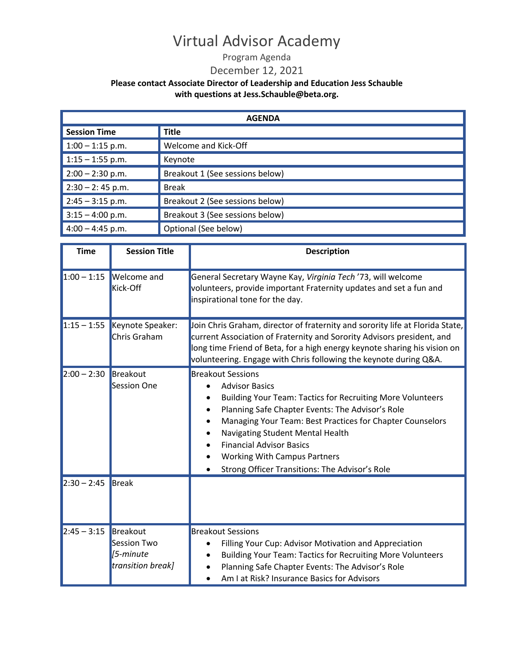#### Program Agenda

#### December 12, 2021

| <b>AGENDA</b>       |                                 |  |
|---------------------|---------------------------------|--|
| <b>Session Time</b> | <b>Title</b>                    |  |
| $1:00 - 1:15$ p.m.  | Welcome and Kick-Off            |  |
| $1:15 - 1:55$ p.m.  | Keynote                         |  |
| $2:00 - 2:30$ p.m.  | Breakout 1 (See sessions below) |  |
| $2:30 - 2:45$ p.m.  | <b>Break</b>                    |  |
| $2:45 - 3:15$ p.m.  | Breakout 2 (See sessions below) |  |
| $3:15 - 4:00$ p.m.  | Breakout 3 (See sessions below) |  |
| $4:00 - 4:45$ p.m.  | Optional (See below)            |  |

| <b>Time</b>   | <b>Session Title</b>                                                      | <b>Description</b>                                                                                                                                                                                                                                                                                                                                                                                      |
|---------------|---------------------------------------------------------------------------|---------------------------------------------------------------------------------------------------------------------------------------------------------------------------------------------------------------------------------------------------------------------------------------------------------------------------------------------------------------------------------------------------------|
|               | $1:00 - 1:15$ Welcome and<br><b>Kick-Off</b>                              | General Secretary Wayne Kay, Virginia Tech '73, will welcome<br>volunteers, provide important Fraternity updates and set a fun and<br>inspirational tone for the day.                                                                                                                                                                                                                                   |
|               | $1:15 - 1:55$ Keynote Speaker:<br>Chris Graham                            | Join Chris Graham, director of fraternity and sorority life at Florida State,<br>current Association of Fraternity and Sorority Advisors president, and<br>long time Friend of Beta, for a high energy keynote sharing his vision on<br>volunteering. Engage with Chris following the keynote during Q&A.                                                                                               |
| $2:00 - 2:30$ | Breakout<br><b>Session One</b>                                            | <b>Breakout Sessions</b><br><b>Advisor Basics</b><br><b>Building Your Team: Tactics for Recruiting More Volunteers</b><br>Planning Safe Chapter Events: The Advisor's Role<br>Managing Your Team: Best Practices for Chapter Counselors<br>Navigating Student Mental Health<br><b>Financial Advisor Basics</b><br><b>Working With Campus Partners</b><br>Strong Officer Transitions: The Advisor's Role |
| $2:30 - 2:45$ | <b>Break</b>                                                              |                                                                                                                                                                                                                                                                                                                                                                                                         |
| $2:45 - 3:15$ | Breakout<br><b>Session Two</b><br>$\sqrt{5}$ -minute<br>transition break] | <b>Breakout Sessions</b><br>Filling Your Cup: Advisor Motivation and Appreciation<br><b>Building Your Team: Tactics for Recruiting More Volunteers</b><br>Planning Safe Chapter Events: The Advisor's Role<br>Am I at Risk? Insurance Basics for Advisors                                                                                                                                               |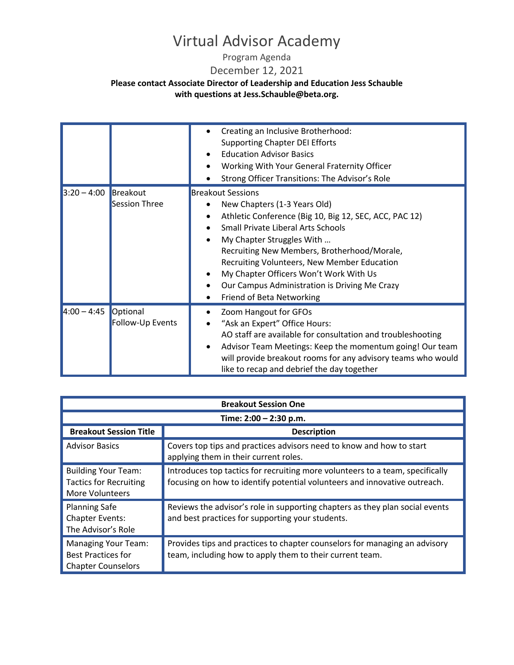Program Agenda

December 12, 2021

|                        |                              | Creating an Inclusive Brotherhood:<br><b>Supporting Chapter DEI Efforts</b><br><b>Education Advisor Basics</b><br>Working With Your General Fraternity Officer<br>Strong Officer Transitions: The Advisor's Role                                                                                                                                                                                                   |
|------------------------|------------------------------|--------------------------------------------------------------------------------------------------------------------------------------------------------------------------------------------------------------------------------------------------------------------------------------------------------------------------------------------------------------------------------------------------------------------|
| $3:20 - 4:00$ Breakout | <b>Session Three</b>         | <b>Breakout Sessions</b><br>New Chapters (1-3 Years Old)<br>Athletic Conference (Big 10, Big 12, SEC, ACC, PAC 12)<br><b>Small Private Liberal Arts Schools</b><br>My Chapter Struggles With<br>Recruiting New Members, Brotherhood/Morale,<br>Recruiting Volunteers, New Member Education<br>My Chapter Officers Won't Work With Us<br>Our Campus Administration is Driving Me Crazy<br>Friend of Beta Networking |
| $4:00 - 4:45$          | Optional<br>Follow-Up Events | Zoom Hangout for GFOs<br>"Ask an Expert" Office Hours:<br>AO staff are available for consultation and troubleshooting<br>Advisor Team Meetings: Keep the momentum going! Our team<br>will provide breakout rooms for any advisory teams who would<br>like to recap and debrief the day together                                                                                                                    |

| <b>Breakout Session One</b>                                                           |                                                                                                                                                            |  |
|---------------------------------------------------------------------------------------|------------------------------------------------------------------------------------------------------------------------------------------------------------|--|
| Time: 2:00 - 2:30 p.m.                                                                |                                                                                                                                                            |  |
| <b>Breakout Session Title</b>                                                         | <b>Description</b>                                                                                                                                         |  |
| <b>Advisor Basics</b>                                                                 | Covers top tips and practices advisors need to know and how to start<br>applying them in their current roles.                                              |  |
| <b>Building Your Team:</b><br><b>Tactics for Recruiting</b><br><b>More Volunteers</b> | Introduces top tactics for recruiting more volunteers to a team, specifically<br>focusing on how to identify potential volunteers and innovative outreach. |  |
| <b>Planning Safe</b><br><b>Chapter Events:</b><br>The Advisor's Role                  | Reviews the advisor's role in supporting chapters as they plan social events<br>and best practices for supporting your students.                           |  |
| <b>Managing Your Team:</b><br><b>Best Practices for</b><br><b>Chapter Counselors</b>  | Provides tips and practices to chapter counselors for managing an advisory<br>team, including how to apply them to their current team.                     |  |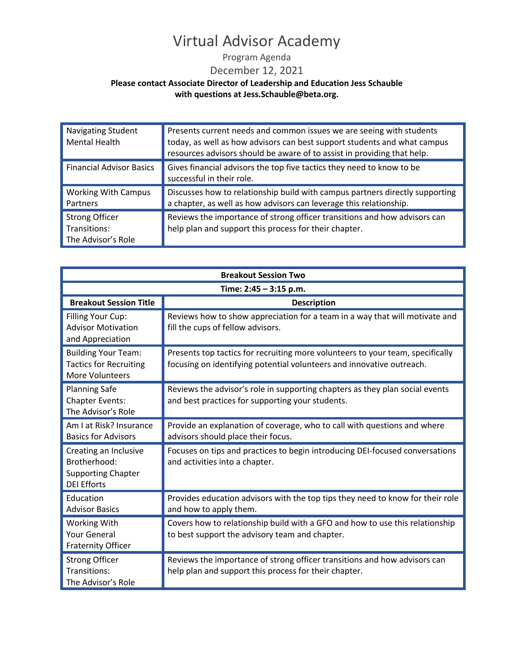Program Agenda

December 12, 2021

| <b>Navigating Student</b><br>Mental Health                  | Presents current needs and common issues we are seeing with students<br>today, as well as how advisors can best support students and what campus<br>resources advisors should be aware of to assist in providing that help. |
|-------------------------------------------------------------|-----------------------------------------------------------------------------------------------------------------------------------------------------------------------------------------------------------------------------|
| <b>Financial Advisor Basics</b>                             | Gives financial advisors the top five tactics they need to know to be<br>successful in their role.                                                                                                                          |
| <b>Working With Campus</b><br><b>Partners</b>               | Discusses how to relationship build with campus partners directly supporting<br>a chapter, as well as how advisors can leverage this relationship.                                                                          |
| <b>Strong Officer</b><br>Transitions:<br>The Advisor's Role | Reviews the importance of strong officer transitions and how advisors can<br>help plan and support this process for their chapter.                                                                                          |

| <b>Breakout Session Two</b>                                                              |                                                                                                                                                         |  |
|------------------------------------------------------------------------------------------|---------------------------------------------------------------------------------------------------------------------------------------------------------|--|
| Time: 2:45 - 3:15 p.m.                                                                   |                                                                                                                                                         |  |
| <b>Breakout Session Title</b>                                                            | <b>Description</b>                                                                                                                                      |  |
| Filling Your Cup:<br><b>Advisor Motivation</b><br>and Appreciation                       | Reviews how to show appreciation for a team in a way that will motivate and<br>fill the cups of fellow advisors.                                        |  |
| <b>Building Your Team:</b><br><b>Tactics for Recruiting</b><br><b>More Volunteers</b>    | Presents top tactics for recruiting more volunteers to your team, specifically<br>focusing on identifying potential volunteers and innovative outreach. |  |
| <b>Planning Safe</b><br><b>Chapter Events:</b><br>The Advisor's Role                     | Reviews the advisor's role in supporting chapters as they plan social events<br>and best practices for supporting your students.                        |  |
| Am I at Risk? Insurance<br><b>Basics for Advisors</b>                                    | Provide an explanation of coverage, who to call with questions and where<br>advisors should place their focus.                                          |  |
| Creating an Inclusive<br>Brotherhood:<br><b>Supporting Chapter</b><br><b>DEI Efforts</b> | Focuses on tips and practices to begin introducing DEI-focused conversations<br>and activities into a chapter.                                          |  |
| Education<br><b>Advisor Basics</b>                                                       | Provides education advisors with the top tips they need to know for their role<br>and how to apply them.                                                |  |
| Working With<br><b>Your General</b><br><b>Fraternity Officer</b>                         | Covers how to relationship build with a GFO and how to use this relationship<br>to best support the advisory team and chapter.                          |  |
| <b>Strong Officer</b><br>Transitions:<br>The Advisor's Role                              | Reviews the importance of strong officer transitions and how advisors can<br>help plan and support this process for their chapter.                      |  |